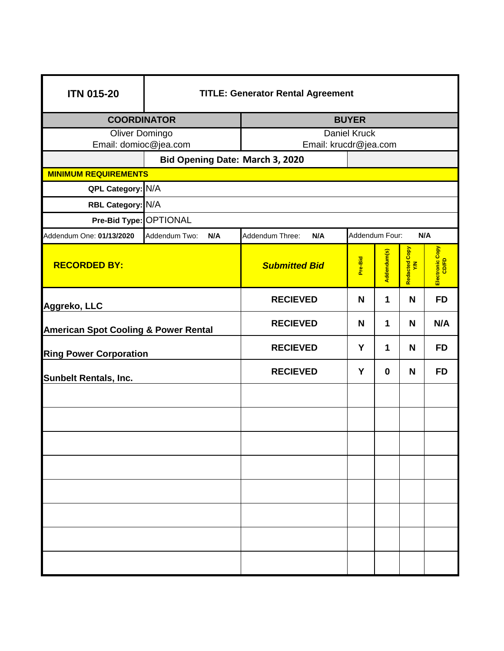| <b>ITN 015-20</b>                               | <b>TITLE: Generator Rental Agreement</b> |                                                 |         |             |                                |                 |  |  |  |  |
|-------------------------------------------------|------------------------------------------|-------------------------------------------------|---------|-------------|--------------------------------|-----------------|--|--|--|--|
| <b>COORDINATOR</b>                              |                                          | <b>BUYER</b>                                    |         |             |                                |                 |  |  |  |  |
| Oliver Domingo                                  |                                          | <b>Daniel Kruck</b>                             |         |             |                                |                 |  |  |  |  |
| Email: domioc@jea.com                           |                                          | Email: krucdr@jea.com                           |         |             |                                |                 |  |  |  |  |
|                                                 |                                          | Bid Opening Date: March 3, 2020                 |         |             |                                |                 |  |  |  |  |
|                                                 | <b>MINIMUM REQUIREMENTS</b>              |                                                 |         |             |                                |                 |  |  |  |  |
| QPL Category: N/A                               |                                          |                                                 |         |             |                                |                 |  |  |  |  |
| RBL Category: N/A                               |                                          |                                                 |         |             |                                |                 |  |  |  |  |
| Pre-Bid Type: OPTIONAL                          |                                          |                                                 |         |             |                                |                 |  |  |  |  |
| Addendum One: 01/13/2020                        | Addendum Two:<br>N/A                     | Addendum Four:<br>N/A<br>Addendum Three:<br>N/A |         |             |                                |                 |  |  |  |  |
| <b>RECORDED BY:</b>                             |                                          | <b>Submitted Bid</b>                            | Pre-Bid | Addendum(s) | Redacted Copy<br>$\tilde{\xi}$ | Electronic Copy |  |  |  |  |
| Aggreko, LLC                                    |                                          | <b>RECIEVED</b>                                 | N       | 1           | N                              | <b>FD</b>       |  |  |  |  |
| <b>American Spot Cooling &amp; Power Rental</b> |                                          | <b>RECIEVED</b>                                 | N       | 1           | N                              | N/A             |  |  |  |  |
| <b>Ring Power Corporation</b>                   |                                          | <b>RECIEVED</b>                                 | Y       | 1           | N                              | <b>FD</b>       |  |  |  |  |
| <b>Sunbelt Rentals, Inc.</b>                    |                                          | <b>RECIEVED</b>                                 | Y       | 0           | N                              | <b>FD</b>       |  |  |  |  |
|                                                 |                                          |                                                 |         |             |                                |                 |  |  |  |  |
|                                                 |                                          |                                                 |         |             |                                |                 |  |  |  |  |
|                                                 |                                          |                                                 |         |             |                                |                 |  |  |  |  |
|                                                 |                                          |                                                 |         |             |                                |                 |  |  |  |  |
|                                                 |                                          |                                                 |         |             |                                |                 |  |  |  |  |
|                                                 |                                          |                                                 |         |             |                                |                 |  |  |  |  |
|                                                 |                                          |                                                 |         |             |                                |                 |  |  |  |  |
|                                                 |                                          |                                                 |         |             |                                |                 |  |  |  |  |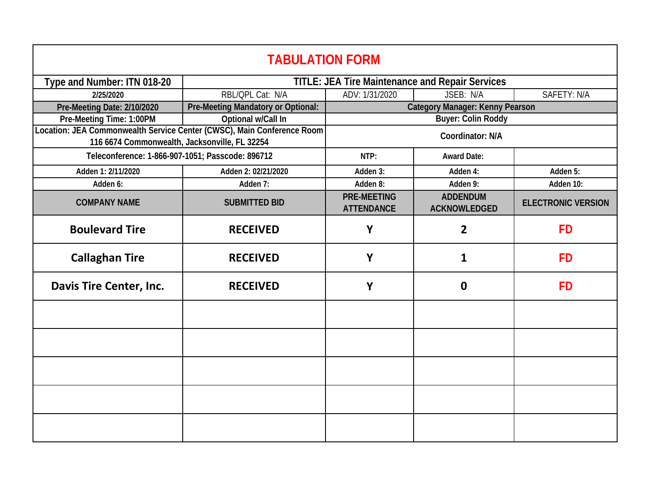| <b>TABULATION FORM</b>                                                                                                  |                                    |                                                        |                                        |                           |  |  |  |
|-------------------------------------------------------------------------------------------------------------------------|------------------------------------|--------------------------------------------------------|----------------------------------------|---------------------------|--|--|--|
| Type and Number: ITN 018-20                                                                                             |                                    | <b>TITLE: JEA Tire Maintenance and Repair Services</b> |                                        |                           |  |  |  |
| 2/25/2020                                                                                                               | RBL/OPL Cat: N/A                   | ADV: 1/31/2020                                         | SAFETY: N/A<br>JSEB: N/A               |                           |  |  |  |
| Pre-Meeting Date: 2/10/2020                                                                                             | Pre-Meeting Mandatory or Optional: | Category Manager: Kenny Pearson                        |                                        |                           |  |  |  |
| Pre-Meeting Time: 1:00PM                                                                                                | Optional w/Call In                 | <b>Buyer: Colin Roddy</b>                              |                                        |                           |  |  |  |
| Location: JEA Commonwealth Service Center (CWSC), Main Conference Room<br>116 6674 Commonwealth, Jacksonville, FL 32254 |                                    | Coordinator: N/A                                       |                                        |                           |  |  |  |
| Teleconference: 1-866-907-1051; Passcode: 896712                                                                        |                                    | NTP:                                                   | <b>Award Date:</b>                     |                           |  |  |  |
| Adden 1: 2/11/2020                                                                                                      | Adden 2: 02/21/2020                | Adden 3:                                               | Adden 4:                               | Adden 5:                  |  |  |  |
| Adden 6:                                                                                                                | Adden 7:                           | Adden 8:                                               | Adden 9:                               | Adden 10:                 |  |  |  |
| <b>COMPANY NAME</b>                                                                                                     | <b>SUBMITTED BID</b>               | <b>PRE-MEETING</b><br><b>ATTENDANCE</b>                | <b>ADDENDUM</b><br><b>ACKNOWLEDGED</b> | <b>ELECTRONIC VERSION</b> |  |  |  |
| <b>Boulevard Tire</b>                                                                                                   | <b>RECEIVED</b>                    | Y                                                      | $\overline{2}$                         | <b>FD</b>                 |  |  |  |
| <b>Callaghan Tire</b>                                                                                                   | <b>RECEIVED</b>                    | Y                                                      | 1                                      | <b>FD</b>                 |  |  |  |
| Davis Tire Center, Inc.                                                                                                 | <b>RECEIVED</b>                    | Y                                                      | 0                                      | <b>FD</b>                 |  |  |  |
|                                                                                                                         |                                    |                                                        |                                        |                           |  |  |  |
|                                                                                                                         |                                    |                                                        |                                        |                           |  |  |  |
|                                                                                                                         |                                    |                                                        |                                        |                           |  |  |  |
|                                                                                                                         |                                    |                                                        |                                        |                           |  |  |  |
|                                                                                                                         |                                    |                                                        |                                        |                           |  |  |  |